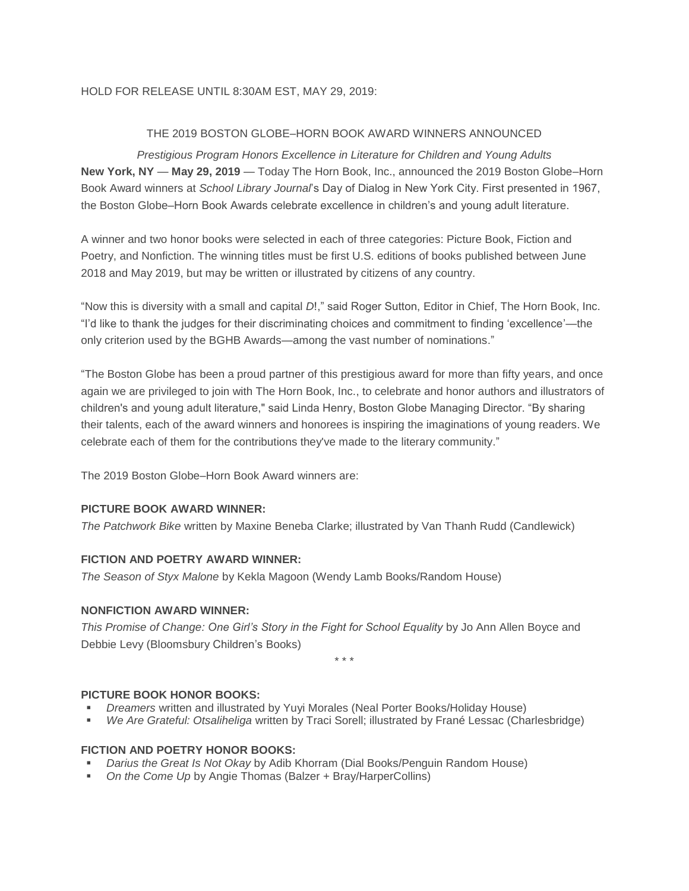### HOLD FOR RELEASE UNTIL 8:30AM EST, MAY 29, 2019:

# THE 2019 BOSTON GLOBE–HORN BOOK AWARD WINNERS ANNOUNCED

*Prestigious Program Honors Excellence in Literature for Children and Young Adults* **New York, NY** — **May 29, 2019** — Today The Horn Book, Inc., announced the 2019 Boston Globe–Horn Book Award winners at *School Library Journal*'s Day of Dialog in New York City. First presented in 1967, the Boston Globe–Horn Book Awards celebrate excellence in children's and young adult literature.

A winner and two honor books were selected in each of three categories: Picture Book, Fiction and Poetry, and Nonfiction. The winning titles must be first U.S. editions of books published between June 2018 and May 2019, but may be written or illustrated by citizens of any country.

"Now this is diversity with a small and capital *D*!," said Roger Sutton, Editor in Chief, The Horn Book, Inc. "I'd like to thank the judges for their discriminating choices and commitment to finding 'excellence'—the only criterion used by the BGHB Awards—among the vast number of nominations."

"The Boston Globe has been a proud partner of this prestigious award for more than fifty years, and once again we are privileged to join with The Horn Book, Inc., to celebrate and honor authors and illustrators of children's and young adult literature," said Linda Henry, Boston Globe Managing Director. "By sharing their talents, each of the award winners and honorees is inspiring the imaginations of young readers. We celebrate each of them for the contributions they've made to the literary community."

The 2019 Boston Globe–Horn Book Award winners are:

### **PICTURE BOOK AWARD WINNER:**

*The Patchwork Bike* written by Maxine Beneba Clarke; illustrated by Van Thanh Rudd (Candlewick)

# **FICTION AND POETRY AWARD WINNER:**

*The Season of Styx Malone* by Kekla Magoon (Wendy Lamb Books/Random House)

#### **NONFICTION AWARD WINNER:**

*This Promise of Change: One Girl's Story in the Fight for School Equality* by Jo Ann Allen Boyce and Debbie Levy (Bloomsbury Children's Books)

\* \* \*

#### **PICTURE BOOK HONOR BOOKS:**

- *Dreamers* written and illustrated by Yuyi Morales (Neal Porter Books/Holiday House)
- *We Are Grateful: Otsaliheliga* written by Traci Sorell; illustrated by Frané Lessac (Charlesbridge)

# **FICTION AND POETRY HONOR BOOKS:**

- *Darius the Great Is Not Okay* by Adib Khorram (Dial Books/Penguin Random House)
- *On the Come Up* by Angie Thomas (Balzer + Bray/HarperCollins)